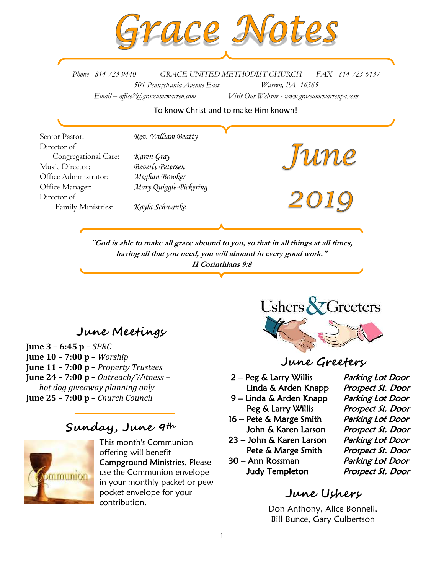

*Phone - 814-723-9440 GRACE UNITED METHODIST CHURCH FAX - 814-723-6137 501 Pennsylvania Avenue East Warren, PA 16365 Email – office2@graceumcwarren.com Visit Our Website - www.graceumcwarrenpa.com* 

To know Christ and to make Him known!

Senior Pastor: *Rev. William Beatty* Director of June<br>2019 Congregational Care: *Karen Gray* Music Director: *Beverly Petersen* Office Administrator: *Meghan Brooker* Office Manager: *Mary Quiggle-Pickering* Director of Family Ministries: *Kayla Schwanke*

**"God is able to make all grace abound to you, so that in all things at all times, having all that you need, you will abound in every good work." II Corinthians 9:8**

# **June Meetings**

**June 3 – 6:45 p –** *SPRC* **June 10 – 7:00 p –** *Worship* **June 11 – 7:00 p –** *Property Trustees* **June 24 – 7:00 p –** *Outreach/Witness – hot dog giveaway planning only* **June 25 – 7:00 p –** *Church Council*

## **Sunday, June 9th**



This month's Communion offering will benefit Campground Ministries. Please use the Communion envelope in your monthly packet or pew pocket envelope for your contribution.



# **June Greeters**

- 2 Peg & Larry Willis Parking Lot Door
- 9 Linda & Arden Knapp Parking Lot Door
- 16 Pete & Marge Smith Parking Lot Door John & Karen Larson Prospect St. Door
- 23 John & Karen Larson Parking Lot Door Pete & Marge Smith Prospect St. Door
- 30 Ann Rossman Parking Lot Door Judy Templeton Prospect St. Door

Linda & Arden Knapp Prospect St. Door Peg & Larry Willis Prospect St. Door

# **June Ushers**

Don Anthony, Alice Bonnell, Bill Bunce, Gary Culbertson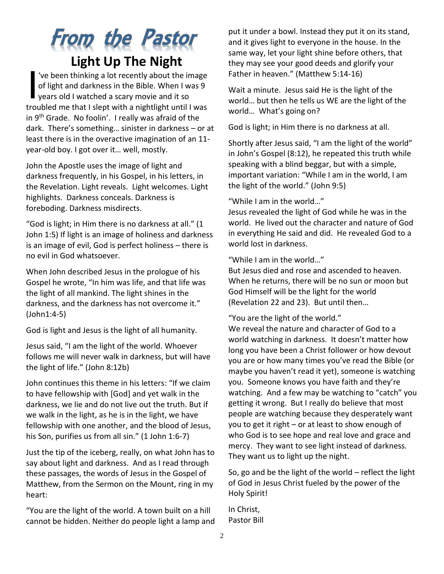# **From the Pastor Light Up The Night**

've been thinking a lot recently about the image of light and darkness in the Bible. When I was 9 years old I watched a scary movie and it so troubled me that I slept with a nightlight until I was in  $9<sup>th</sup>$  Grade. No foolin'. I really was afraid of the dark. There's something… sinister in darkness – or at least there is in the overactive imagination of an 11 year-old boy. I got over it… well, mostly. I

John the Apostle uses the image of light and darkness frequently, in his Gospel, in his letters, in the Revelation. Light reveals. Light welcomes. Light highlights. Darkness conceals. Darkness is foreboding. Darkness misdirects.

"God is light; in Him there is no darkness at all." (1 John 1:5) If light is an image of holiness and darkness is an image of evil, God is perfect holiness – there is no evil in God whatsoever.

When John described Jesus in the prologue of his Gospel he wrote, "In him was life, and that life was the light of all mankind. The light shines in the darkness, and the darkness has not overcome it." (John1:4-5)

God is light and Jesus is the light of all humanity.

Jesus said, "I am the light of the world. Whoever follows me will never walk in darkness, but will have the light of life." (John 8:12b)

John continues this theme in his letters: "If we claim to have fellowship with [God] and yet walk in the darkness, we lie and do not live out the truth. But if we walk in the light, as he is in the light, we have fellowship with one another, and the blood of Jesus, his Son, purifies us from all sin." (1 John 1:6-7)

Just the tip of the iceberg, really, on what John has to say about light and darkness. And as I read through these passages, the words of Jesus in the Gospel of Matthew, from the Sermon on the Mount, ring in my heart:

"You are the light of the world. A town built on a hill cannot be hidden. Neither do people light a lamp and

put it under a bowl. Instead they put it on its stand, and it gives light to everyone in the house. In the same way, let your light shine before others, that they may see your good deeds and glorify your Father in heaven." (Matthew 5:14-16)

Wait a minute. Jesus said He is the light of the world… but then he tells us WE are the light of the world… What's going on?

God is light; in Him there is no darkness at all.

Shortly after Jesus said, "I am the light of the world" in John's Gospel (8:12), he repeated this truth while speaking with a blind beggar, but with a simple, important variation: "While I am in the world, I am the light of the world." (John 9:5)

"While I am in the world…"

Jesus revealed the light of God while he was in the world. He lived out the character and nature of God in everything He said and did. He revealed God to a world lost in darkness.

"While I am in the world…"

But Jesus died and rose and ascended to heaven. When he returns, there will be no sun or moon but God Himself will be the light for the world (Revelation 22 and 23). But until then…

"You are the light of the world."

We reveal the nature and character of God to a world watching in darkness. It doesn't matter how long you have been a Christ follower or how devout you are or how many times you've read the Bible (or maybe you haven't read it yet), someone is watching you. Someone knows you have faith and they're watching. And a few may be watching to "catch" you getting it wrong. But I really do believe that most people are watching because they desperately want you to get it right – or at least to show enough of who God is to see hope and real love and grace and mercy. They want to see light instead of darkness. They want us to light up the night.

So, go and be the light of the world – reflect the light of God in Jesus Christ fueled by the power of the Holy Spirit!

In Christ, Pastor Bill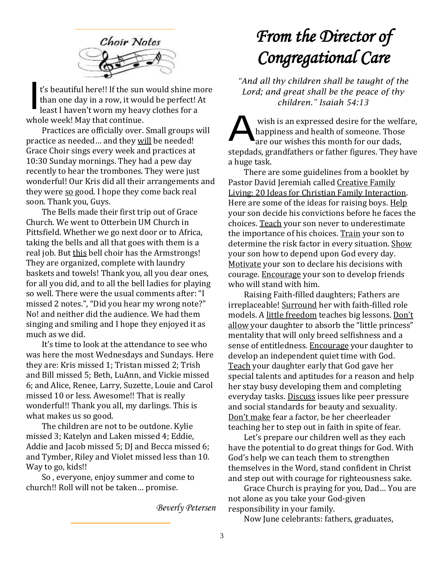

t's beautiful here!! If the sun would shine more than one day in a row, it would be perfect! At least I haven't worn my heavy clothes for a whole week! May that continue. I

Practices are officially over. Small groups will practice as needed… and they will be needed! Grace Choir sings every week and practices at 10:30 Sunday mornings. They had a pew day recently to hear the trombones. They were just wonderful! Our Kris did all their arrangements and they were so good. I hope they come back real soon. Thank you, Guys.

The Bells made their first trip out of Grace Church. We went to Otterbein UM Church in Pittsfield. Whether we go next door or to Africa, taking the bells and all that goes with them is a real job. But this bell choir has the Armstrongs! They are organized, complete with laundry baskets and towels! Thank you, all you dear ones, for all you did, and to all the bell ladies for playing so well. There were the usual comments after: "I missed 2 notes.", "Did you hear my wrong note?" No! and neither did the audience. We had them singing and smiling and I hope they enjoyed it as much as we did.

It's time to look at the attendance to see who was here the most Wednesdays and Sundays. Here they are: Kris missed 1; Tristan missed 2; Trish and Bill missed 5; Beth, LuAnn, and Vickie missed 6; and Alice, Renee, Larry, Suzette, Louie and Carol missed 10 or less. Awesome!! That is really wonderful!! Thank you all, my darlings. This is what makes us so good.

The children are not to be outdone. Kylie missed 3; Katelyn and Laken missed 4; Eddie, Addie and Jacob missed 5; DJ and Becca missed 6; and Tymber, Riley and Violet missed less than 10. Way to go, kids!!

So , everyone, enjoy summer and come to church!! Roll will not be taken… promise.

*Beverly Petersen*

# *From the Director of Congregational Care*

*"And all thy children shall be taught of the Lord; and great shall be the peace of thy children." Isaiah 54:13*

wish is an expressed desire for the welfare, happiness and health of someone. Those  $\blacksquare$ are our wishes this month for our dads. stepdads, grandfathers or father figures. They have a huge task. A

There are some guidelines from a booklet by Pastor David Jeremiah called Creative Family Living: 20 Ideas for Christian Family Interaction. Here are some of the ideas for raising boys. Help your son decide his convictions before he faces the choices. Teach your son never to underestimate the importance of his choices. Train your son to determine the risk factor in every situation. Show your son how to depend upon God every day. Motivate your son to declare his decisions with courage. Encourage your son to develop friends who will stand with him.

Raising Faith-filled daughters; Fathers are irreplaceable! Surround her with faith-filled role models. A little freedom teaches big lessons. Don't allow your daughter to absorb the "little princess" mentality that will only breed selfishness and a sense of entitledness. Encourage your daughter to develop an independent quiet time with God. Teach your daughter early that God gave her special talents and aptitudes for a reason and help her stay busy developing them and completing everyday tasks. Discuss issues like peer pressure and social standards for beauty and sexuality. Don't make fear a factor, be her cheerleader teaching her to step out in faith in spite of fear.

Let's prepare our children well as they each have the potential to do great things for God. With God's help we can teach them to strengthen themselves in the Word, stand confident in Christ and step out with courage for righteousness sake.

Grace Church is praying for you, Dad… You are not alone as you take your God-given responsibility in your family.

Now June celebrants: fathers, graduates,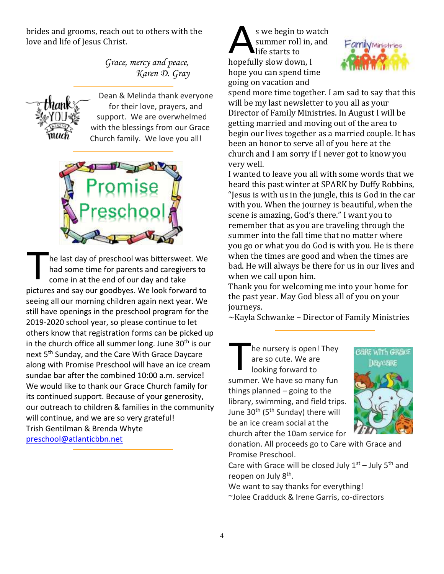brides and grooms, reach out to others with the love and life of Jesus Christ.

> *Grace, mercy and peace, Karen D. Gray*



Dean & Melinda thank everyone for their love, prayers, and support. We are overwhelmed with the blessings from our Grace Church family. We love you all!



he last day of preschool was bittersweet. We had some time for parents and caregivers to come in at the end of our day and take pictures and say our goodbyes. We look forward to seeing all our morning children again next year. We still have openings in the preschool program for the 2019-2020 school year, so please continue to let others know that registration forms can be picked up in the church office all summer long. June  $30<sup>th</sup>$  is our next 5<sup>th</sup> Sunday, and the Care With Grace Daycare along with Promise Preschool will have an ice cream sundae bar after the combined 10:00 a.m. service! We would like to thank our Grace Church family for its continued support. Because of your generosity, our outreach to children & families in the community will continue, and we are so very grateful! Trish Gentilman & Brenda Whyte [preschool@atlanticbbn.net](mailto:preschool@atlanticbbn.net) T

s we begin to watch summer roll in, and life starts to hopefully slow down, I hope you can spend time going on vacation and A



spend more time together. I am sad to say that this will be my last newsletter to you all as your Director of Family Ministries. In August I will be getting married and moving out of the area to begin our lives together as a married couple. It has been an honor to serve all of you here at the church and I am sorry if I never got to know you very well.

I wanted to leave you all with some words that we heard this past winter at SPARK by Duffy Robbins, "Jesus is with us in the jungle, this is God in the car with you. When the journey is beautiful, when the scene is amazing, God's there." I want you to remember that as you are traveling through the summer into the fall time that no matter where you go or what you do God is with you. He is there when the times are good and when the times are bad. He will always be there for us in our lives and when we call upon him.

Thank you for welcoming me into your home for the past year. May God bless all of you on your journeys.

~Kayla Schwanke – Director of Family Ministries

he nursery is open! They are so cute. We are looking forward to summer. We have so many fun things planned – going to the library, swimming, and field trips. June 30<sup>th</sup> (5<sup>th</sup> Sunday) there will be an ice cream social at the church after the 10am service for T



donation. All proceeds go to Care with Grace and Promise Preschool.

Care with Grace will be closed July  $1^{st}$  – July  $5^{th}$  and reopen on July 8<sup>th</sup>.

We want to say thanks for everything! ~Jolee Cradduck & Irene Garris, co-directors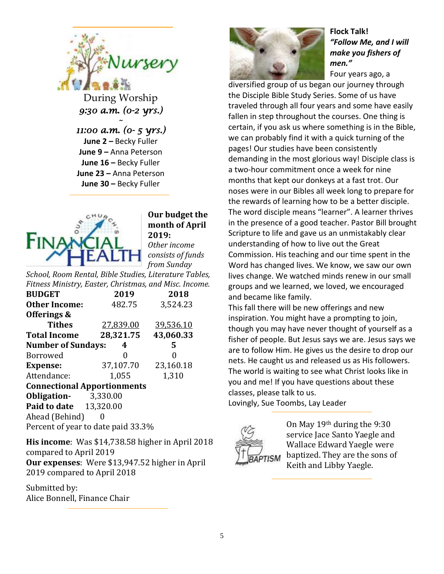

During Worship *9:30 a.m. (0-2 yrs.)* 

*~* 

*11:00 a.m. (0- 5 yrs.)*  **June 2** *–* Becky Fuller **June 9 –** Anna Peterson **June 16 –** Becky Fuller **June 23 –** Anna Peterson **June 30 –** Becky Fuller



### **Our budget the month of April 2019:**

*Other income consists of funds from Sunday* 

*School, Room Rental, Bible Studies, Literature Tables, Fitness Ministry, Easter, Christmas, and Misc. Income.*

| <b>BUDGET</b>                       | 2019      | 2018      |  |  |  |  |  |  |
|-------------------------------------|-----------|-----------|--|--|--|--|--|--|
| <b>Other Income:</b>                | 482.75    | 3,524.23  |  |  |  |  |  |  |
| Offerings &                         |           |           |  |  |  |  |  |  |
| <b>Tithes</b>                       | 27,839.00 | 39,536.10 |  |  |  |  |  |  |
| <b>Total Income</b>                 | 28,321.75 | 43,060.33 |  |  |  |  |  |  |
| <b>Number of Sundays:</b><br>5<br>4 |           |           |  |  |  |  |  |  |
| Borrowed                            | 0         | 0         |  |  |  |  |  |  |
| <b>Expense:</b>                     | 37,107.70 | 23,160.18 |  |  |  |  |  |  |
| Attendance:                         | 1,055     | 1,310     |  |  |  |  |  |  |
| <b>Connectional Apportionments</b>  |           |           |  |  |  |  |  |  |
| <b>Obligation-</b> 3,330.00         |           |           |  |  |  |  |  |  |
| <b>Paid to date</b> 13,320.00       |           |           |  |  |  |  |  |  |
| Ahead (Behind)                      |           |           |  |  |  |  |  |  |
| Percent of year to date paid 33.3%  |           |           |  |  |  |  |  |  |

**His income**: Was \$14,738.58 higher in April 2018 compared to April 2019 **Our expenses**: Were \$13,947.52 higher in April 2019 compared to April 2018

Submitted by: Alice Bonnell, Finance Chair



#### **Flock Talk!** *"Follow Me, and I will make you fishers of men."*  Four years ago, a

diversified group of us began our journey through the Disciple Bible Study Series. Some of us have traveled through all four years and some have easily fallen in step throughout the courses. One thing is certain, if you ask us where something is in the Bible, we can probably find it with a quick turning of the pages! Our studies have been consistently demanding in the most glorious way! Disciple class is a two-hour commitment once a week for nine months that kept our donkeys at a fast trot. Our noses were in our Bibles all week long to prepare for the rewards of learning how to be a better disciple. The word disciple means "learner". A learner thrives in the presence of a good teacher. Pastor Bill brought Scripture to life and gave us an unmistakably clear understanding of how to live out the Great Commission. His teaching and our time spent in the Word has changed lives. We know, we saw our own lives change. We watched minds renew in our small groups and we learned, we loved, we encouraged and became like family.

This fall there will be new offerings and new inspiration. You might have a prompting to join, though you may have never thought of yourself as a fisher of people. But Jesus says we are. Jesus says we are to follow Him. He gives us the desire to drop our nets. He caught us and released us as His followers. The world is waiting to see what Christ looks like in you and me! If you have questions about these classes, please talk to us.

Lovingly, Sue Toombs, Lay Leader



On May 19th during the 9:30 service Jace Santo Yaegle and Wallace Edward Yaegle were baptized. They are the sons of Keith and Libby Yaegle.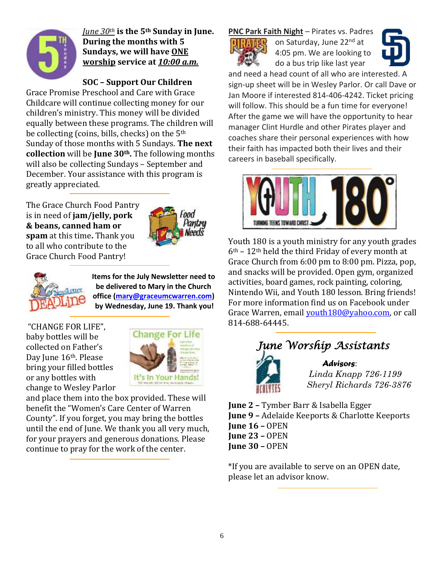

*June 30th* **is the 5th Sunday in June. During the months with 5 Sundays, we will have ONE worship service at** *10:00 a.m.*

### **SOC – Support Our Children**

Grace Promise Preschool and Care with Grace Childcare will continue collecting money for our children's ministry. This money will be divided equally between these programs. The children will be collecting (coins, bills, checks) on the 5th Sunday of those months with 5 Sundays. **The next collection** will be **June 30th.** The following months will also be collecting Sundays – September and December. Your assistance with this program is greatly appreciated.

The Grace Church Food Pantry is in need of **jam/jelly, pork & beans, canned ham or spam** at this time**.** Thank you to all who contribute to the Grace Church Food Pantry!





**Items for the July Newsletter need to be delivered to Mary in the Church office [\(mary@graceumcwarren.com\)](mailto:mary@graceumcwarren.com) by Wednesday, June 19. Thank you!**

"CHANGE FOR LIFE", baby bottles will be collected on Father's Day June 16<sup>th</sup>. Please bring your filled bottles or any bottles with change to Wesley Parlor



and place them into the box provided. These will benefit the "Women's Care Center of Warren County". If you forget, you may bring the bottles until the end of June. We thank you all very much, for your prayers and generous donations. Please continue to pray for the work of the center.

**PNC Park Faith Night** – Pirates vs. Padres



on Saturday, June 22<sup>nd</sup> at 4:05 pm. We are looking to do a bus trip like last year



and need a head count of all who are interested. A sign-up sheet will be in Wesley Parlor. Or call Dave or Jan Moore if interested 814-406-4242. Ticket pricing will follow. This should be a fun time for everyone! After the game we will have the opportunity to hear manager Clint Hurdle and other Pirates player and coaches share their personal experiences with how their faith has impacted both their lives and their careers in baseball specifically.



Youth 180 is a youth ministry for any youth grades  $6<sup>th</sup>$  – 12<sup>th</sup> held the third Friday of every month at Grace Church from 6:00 pm to 8:00 pm. Pizza, pop, and snacks will be provided. Open gym, organized activities, board games, rock painting, coloring, Nintendo Wii, and Youth 180 lesson. Bring friends! For more information find us on Facebook under Grace Warren, email [youth180@yahoo.com,](mailto:youth180@yahoo.com) or call 814-688-64445.



**June 2 –** Tymber Barr & Isabella Egger **June 9 –** Adelaide Keeports & Charlotte Keeports **June 16 –** OPEN **June 23 –** OPEN **June 30 –** OPEN

\*If you are available to serve on an OPEN date, please let an advisor know.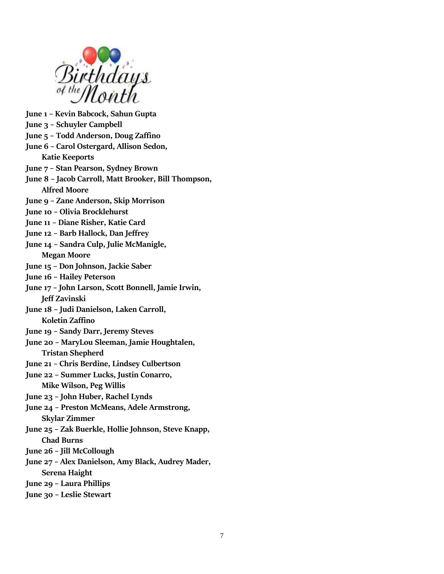

**June 1 – Kevin Babcock, Sahun Gupta**

- **June 3 – Schuyler Campbell**
- **June 5 – Todd Anderson, Doug Zaffino**
- **June 6 – Carol Ostergard, Allison Sedon, Katie Keeports**
- **June 7 – Stan Pearson, Sydney Brown**
- **June 8 – Jacob Carroll, Matt Brooker, Bill Thompson, Alfred Moore**
- **June 9 – Zane Anderson, Skip Morrison**
- **June 10 – Olivia Brocklehurst**
- **June 11 – Diane Risher, Katie Card**
- **June 12 – Barb Hallock, Dan Jeffrey**
- **June 14 – Sandra Culp, Julie McManigle, Megan Moore**
- **June 15 – Don Johnson, Jackie Saber**
- **June 16 – Hailey Peterson**
- **June 17 – John Larson, Scott Bonnell, Jamie Irwin, Jeff Zavinski**
- **June 18 – Judi Danielson, Laken Carroll, Koletin Zaffino**
- **June 19 – Sandy Darr, Jeremy Steves**
- **June 20 – MaryLou Sleeman, Jamie Houghtalen, Tristan Shepherd**
- **June 21 – Chris Berdine, Lindsey Culbertson**
- **June 22 – Summer Lucks, Justin Conarro, Mike Wilson, Peg Willis**
- **June 23 – John Huber, Rachel Lynds**
- **June 24 – Preston McMeans, Adele Armstrong, Skylar Zimmer**
- **June 25 – Zak Buerkle, Hollie Johnson, Steve Knapp, Chad Burns**
- **June 26 – Jill McCollough**
- **June 27 – Alex Danielson, Amy Black, Audrey Mader, Serena Haight**
- **June 29 – Laura Phillips**
- **June 30 – Leslie Stewart**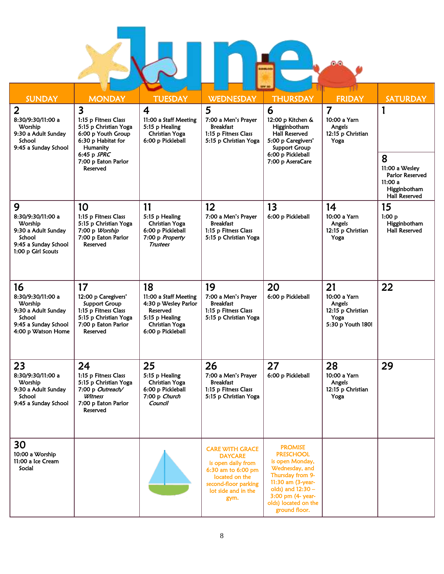L í I

| <b>SUNDAY</b>                                                                                                     | <b>MONDAY</b>                                                                                                                                                                      | <b>TUESDAY</b>                                                                                                                  | <b>WEDNESDAY</b>                                                                                                                                              | <b>THURSDAY</b>                                                                                                                                                                                     | <b>FRIDAY</b>                                                                  | <b>SATURDAY</b>                                                                                |
|-------------------------------------------------------------------------------------------------------------------|------------------------------------------------------------------------------------------------------------------------------------------------------------------------------------|---------------------------------------------------------------------------------------------------------------------------------|---------------------------------------------------------------------------------------------------------------------------------------------------------------|-----------------------------------------------------------------------------------------------------------------------------------------------------------------------------------------------------|--------------------------------------------------------------------------------|------------------------------------------------------------------------------------------------|
| $\overline{2}$<br>8:30/9:30/11:00 a<br>Worship<br>9:30 a Adult Sunday<br>School<br>9:45 a Sunday School           | $\overline{\mathbf{3}}$<br>1:15 p Fitness Class<br>5:15 p Christian Yoga<br>6:00 p Youth Group<br>6:30 p Habitat for<br>Humanity<br>6:45 p SPRC<br>7:00 p Eaton Parlor<br>Reserved | $\overline{4}$<br>11:00 a Staff Meeting<br>5:15 p Healing<br><b>Christian Yoga</b><br>6:00 p Pickleball                         | 5<br>7:00 a Men's Prayer<br><b>Breakfast</b><br>1:15 p Fitness Class<br>5:15 p Christian Yoga                                                                 | 6<br>12:00 p Kitchen &<br>Higginbotham<br>Hall Reserved<br>5:00 p Caregivers'<br><b>Support Group</b><br>6:00 p Pickleball<br>7:00 p AseraCare                                                      | $\overline{7}$<br>10:00 a Yarn<br>Angels<br>12:15 p Christian<br>Yoga          | 1<br>8<br>11:00 a Wesley<br>Parlor Reserved<br>11:00 a<br>Higginbotham<br><b>Hall Reserved</b> |
| 9<br>8:30/9:30/11:00 a<br>Worship<br>9:30 a Adult Sunday<br>School<br>9:45 a Sunday School<br>1:00 p Girl Scouts  | 10<br>1:15 p Fitness Class<br>5:15 p Christian Yoga<br>7:00 p Worship<br>7:00 p Eaton Parlor<br>Reserved                                                                           | 11<br>5:15 p Healing<br><b>Christian Yoga</b><br>6:00 p Pickleball<br>7:00 p Property<br>Trustees                               | 12<br>7:00 a Men's Prayer<br><b>Breakfast</b><br>1:15 p Fitness Class<br>5:15 p Christian Yoga                                                                | 13<br>6:00 p Pickleball                                                                                                                                                                             | 14<br>10:00 a Yarn<br>Angels<br>12:15 p Christian<br>Yoga                      | 15<br>1:00 p<br>Higginbotham<br><b>Hall Reserved</b>                                           |
| 16<br>8:30/9:30/11:00 a<br>Worship<br>9:30 a Adult Sunday<br>School<br>9:45 a Sunday School<br>4:00 p Watson Home | 17<br>12:00 p Caregivers'<br><b>Support Group</b><br>1:15 p Fitness Class<br>5:15 p Christian Yoga<br>7:00 p Eaton Parlor<br>Reserved                                              | 18<br>11:00 a Staff Meeting<br>4:30 p Wesley Parlor<br>Reserved<br>5:15 p Healing<br><b>Christian Yoga</b><br>6:00 p Pickleball | 19<br>7:00 a Men's Prayer<br><b>Breakfast</b><br>1:15 p Fitness Class<br>5:15 p Christian Yoga                                                                | 20<br>6:00 p Pickleball                                                                                                                                                                             | 21<br>10:00 a Yarn<br>Angels<br>12:15 p Christian<br>Yoga<br>5:30 p Youth 180! | 22                                                                                             |
| 23<br>8:30/9:30/11:00 a<br>Worship<br>9:30 a Adult Sunday<br>School<br>9:45 a Sunday School                       | 24<br>1:15 p Fitness Class<br>5:15 p Christian Yoga<br>7:00 p Outreach/<br>Witness<br>7:00 p Eaton Parlor<br>Reserved                                                              | 25<br>5:15 p Healing<br>Christian Yoga<br>6:00 p Pickleball<br>7:00 p Church<br>Council                                         | 26<br>7:00 a Men's Prayer<br><b>Breakfast</b><br>1:15 p Fitness Class<br>5:15 p Christian Yoga                                                                | 27<br>6:00 p Pickleball                                                                                                                                                                             | 28<br>10:00 a Yarn<br>Angels<br>12:15 p Christian<br>Yoga                      | 29                                                                                             |
| 30<br>10:00 a Worship<br>11:00 a Ice Cream<br>Social                                                              |                                                                                                                                                                                    |                                                                                                                                 | <b>CARE WITH GRACE</b><br><b>DAYCARE</b><br>is open daily from<br>6:30 am to 6:00 pm<br>located on the<br>second-floor parking<br>lot side and in the<br>gym. | <b>PROMISE</b><br><b>PRESCHOOL</b><br>is open Monday,<br>Wednesday, and<br>Thursday from 9-<br>11:30 am (3-year-<br>olds) and 12:30 -<br>3:00 pm (4- year-<br>olds) located on the<br>ground floor. |                                                                                |                                                                                                |